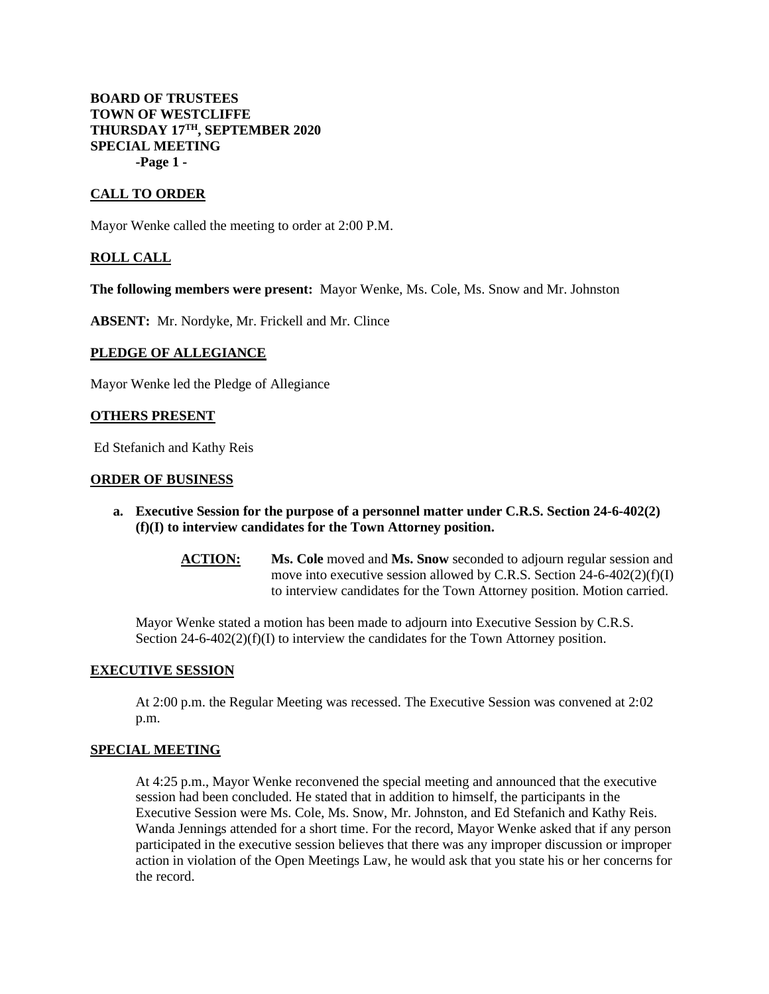## **BOARD OF TRUSTEES TOWN OF WESTCLIFFE THURSDAY 17TH, SEPTEMBER 2020 SPECIAL MEETING -Page 1 -**

## **CALL TO ORDER**

Mayor Wenke called the meeting to order at 2:00 P.M.

### **ROLL CALL**

**The following members were present:** Mayor Wenke, Ms. Cole, Ms. Snow and Mr. Johnston

**ABSENT:** Mr. Nordyke, Mr. Frickell and Mr. Clince

# **PLEDGE OF ALLEGIANCE**

Mayor Wenke led the Pledge of Allegiance

#### **OTHERS PRESENT**

Ed Stefanich and Kathy Reis

#### **ORDER OF BUSINESS**

- **a. Executive Session for the purpose of a personnel matter under C.R.S. Section 24-6-402(2) (f)(I) to interview candidates for the Town Attorney position.**
	- **ACTION: Ms. Cole** moved and **Ms. Snow** seconded to adjourn regular session and move into executive session allowed by C.R.S. Section 24-6-402(2)(f)(I) to interview candidates for the Town Attorney position. Motion carried.

Mayor Wenke stated a motion has been made to adjourn into Executive Session by C.R.S. Section  $24-6-402(2)(f)(I)$  to interview the candidates for the Town Attorney position.

#### **EXECUTIVE SESSION**

At 2:00 p.m. the Regular Meeting was recessed. The Executive Session was convened at 2:02 p.m.

### **SPECIAL MEETING**

At 4:25 p.m., Mayor Wenke reconvened the special meeting and announced that the executive session had been concluded. He stated that in addition to himself, the participants in the Executive Session were Ms. Cole, Ms. Snow, Mr. Johnston, and Ed Stefanich and Kathy Reis. Wanda Jennings attended for a short time. For the record, Mayor Wenke asked that if any person participated in the executive session believes that there was any improper discussion or improper action in violation of the Open Meetings Law, he would ask that you state his or her concerns for the record.